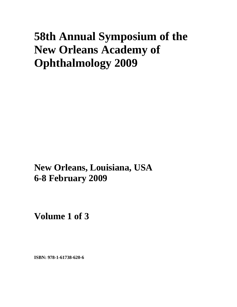# **58th Annual Symposium of the New Orleans Academy of Ophthalmology 2009**

**New Orleans, Louisiana, USA 6-8 February 2009**

**Volume 1 of 3** 

**ISBN: 978-1-61738-620-6**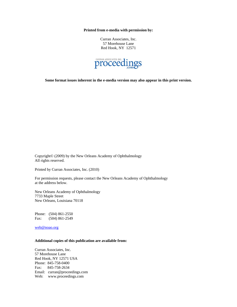**Printed from e-media with permission by:** 

Curran Associates, Inc. 57 Morehouse Lane Red Hook, NY 12571



**Some format issues inherent in the e-media version may also appear in this print version.** 

Copyright© (2009) by the New Orleans Academy of Ophthalmology All rights reserved.

Printed by Curran Associates, Inc. (2010)

For permission requests, please contact the New Orleans Academy of Ophthalmology at the address below.

New Orleans Academy of Ophthalmology 7733 Maple Street New Orleans, Louisiana 70118

Phone: (504) 861-2550 Fax: (504) 861-2549

web@noao.org

#### **Additional copies of this publication are available from:**

Curran Associates, Inc. 57 Morehouse Lane Red Hook, NY 12571 USA Phone: 845-758-0400 Fax: 845-758-2634 Email: curran@proceedings.com Web: www.proceedings.com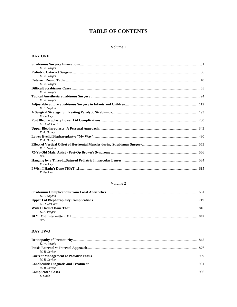# **TABLE OF CONTENTS**

#### Volume 1

# **DAY ONE**

| K. W. Wright |  |
|--------------|--|
|              |  |
| K. W. Wright |  |
|              |  |
| K. W. Wright |  |
|              |  |
| K. W. Wright |  |
|              |  |
| K. W. Wright |  |
|              |  |
| D. L. Guyton |  |
|              |  |
| E. Buckley   |  |
|              |  |
| C.D. McCord  |  |
|              |  |
| R. A. Dailey |  |
|              |  |
| R. A. Dailey |  |
|              |  |
| D. L. Guyton |  |
|              |  |
| N/A          |  |
| E. Buckley   |  |
|              |  |
| E. Buckley   |  |

### Volume 2

| D. L. Guyton |  |
|--------------|--|
|              |  |
| C.D. McCord  |  |
|              |  |
| D. A. Plager |  |
|              |  |
| N/A          |  |

# **DAY TWO**

| K. W. Wright |  |
|--------------|--|
|              |  |
| M. R. Levine |  |
|              |  |
| M. R. Levine |  |
|              |  |
| M. R. Levine |  |
|              |  |
| S. Slade     |  |